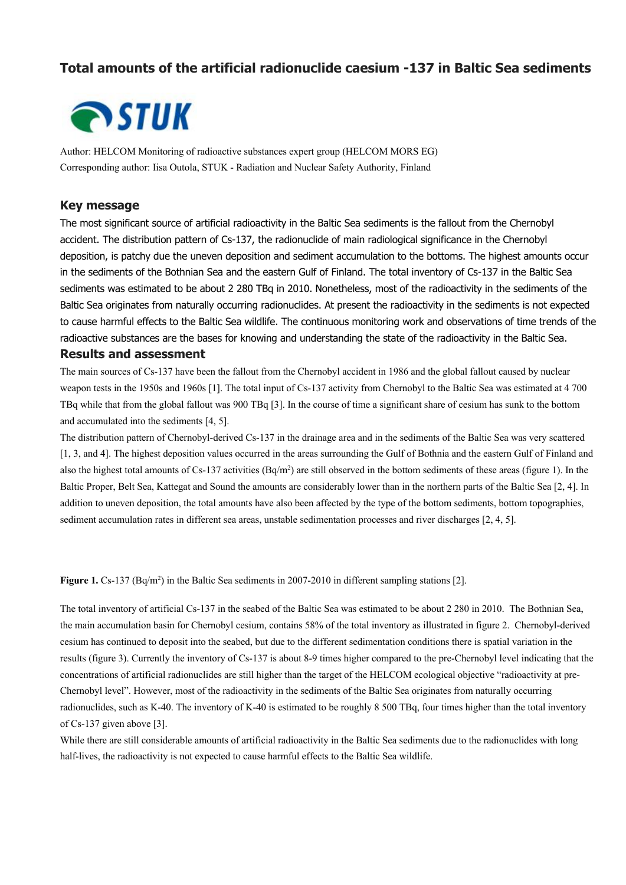# **Total amounts of the artificial radionuclide caesium -137 in Baltic Sea sediments**



Author: HELCOM Monitoring of radioactive substances expert group (HELCOM MORS EG) Corresponding author: Iisa Outola, STUK - Radiation and Nuclear Safety Authority, Finland

#### **Key message**

The most significant source of artificial radioactivity in the Baltic Sea sediments is the fallout from the Chernobyl accident. The distribution pattern of Cs-137, the radionuclide of main radiological significance in the Chernobyl deposition, is patchy due the uneven deposition and sediment accumulation to the bottoms. The highest amounts occur in the sediments of the Bothnian Sea and the eastern Gulf of Finland. The total inventory of Cs-137 in the Baltic Sea sediments was estimated to be about 2 280 TBq in 2010. Nonetheless, most of the radioactivity in the sediments of the Baltic Sea originates from naturally occurring radionuclides. At present the radioactivity in the sediments is not expected to cause harmful effects to the Baltic Sea wildlife. The continuous monitoring work and observations of time trends of the radioactive substances are the bases for knowing and understanding the state of the radioactivity in the Baltic Sea.

## **Results and assessment**

The main sources of Cs-137 have been the fallout from the Chernobyl accident in 1986 and the global fallout caused by nuclear weapon tests in the 1950s and 1960s [1]. The total input of Cs-137 activity from Chernobyl to the Baltic Sea was estimated at 4 700 TBq while that from the global fallout was 900 TBq [3]. In the course of time a significant share of cesium has sunk to the bottom and accumulated into the sediments [4, 5].

The distribution pattern of Chernobyl-derived Cs-137 in the drainage area and in the sediments of the Baltic Sea was very scattered [1, 3, and 4]. The highest deposition values occurred in the areas surrounding the Gulf of Bothnia and the eastern Gulf of Finland and also the highest total amounts of Cs-137 activities  $(Bq/m^2)$  are still observed in the bottom sediments of these areas (figure 1). In the Baltic Proper, Belt Sea, Kattegat and Sound the amounts are considerably lower than in the northern parts of the Baltic Sea [2, 4]. In addition to uneven deposition, the total amounts have also been affected by the type of the bottom sediments, bottom topographies, sediment accumulation rates in different sea areas, unstable sedimentation processes and river discharges [2, 4, 5].

**Figure 1.** Cs-137 (Bq/m<sup>2</sup>) in the Baltic Sea sediments in 2007-2010 in different sampling stations [2].

The total inventory of artificial Cs-137 in the seabed of the Baltic Sea was estimated to be about 2 280 in 2010. The Bothnian Sea, the main accumulation basin for Chernobyl cesium, contains 58% of the total inventory as illustrated in figure 2. Chernobyl-derived cesium has continued to deposit into the seabed, but due to the different sedimentation conditions there is spatial variation in the results (figure 3). Currently the inventory of Cs-137 is about 8-9 times higher compared to the pre-Chernobyl level indicating that the concentrations of artificial radionuclides are still higher than the target of the HELCOM ecological objective "radioactivity at pre-Chernobyl level". However, most of the radioactivity in the sediments of the Baltic Sea originates from naturally occurring radionuclides, such as K-40. The inventory of K-40 is estimated to be roughly 8 500 TBq, four times higher than the total inventory of Cs-137 given above [3].

While there are still considerable amounts of artificial radioactivity in the Baltic Sea sediments due to the radionuclides with long half-lives, the radioactivity is not expected to cause harmful effects to the Baltic Sea wildlife.